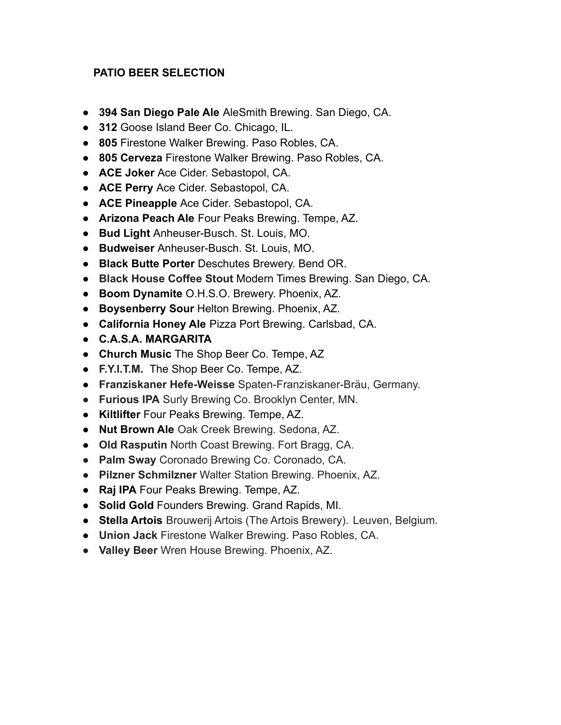## **PATIO BEER SELECTION**

- **394 San Diego Pale Ale** AleSmith Brewing. San Diego, CA.
- **312** Goose Island Beer Co. Chicago, IL.
- **805** Firestone Walker Brewing. Paso Robles, CA.
- **805 Cerveza** Firestone Walker Brewing. Paso Robles, CA.
- **ACE Joker** Ace Cider. Sebastopol, CA.
- **ACE Perry** Ace Cider. Sebastopol, CA.
- **ACE Pineapple** Ace Cider. Sebastopol, CA.
- **Arizona Peach Ale** Four Peaks Brewing. Tempe, AZ.
- **Bud Light** Anheuser-Busch. St. Louis, MO.
- **Budweiser** Anheuser-Busch. St. Louis, MO.
- **● Black Butte Porter** Deschutes Brewery. Bend OR.
- **Black House Coffee Stout** Modern Times Brewing. San Diego, CA.
- **● Boom Dynamite** O.H.S.O. Brewery. Phoenix, AZ.
- **Boysenberry Sour** Helton Brewing. Phoenix, AZ.
- **California Honey Ale** Pizza Port Brewing. Carlsbad, CA.
- **C.A.S.A. MARGARITA**
- **● Church Music** The Shop Beer Co. Tempe, AZ
- **F.Y.I.T.M.** The Shop Beer Co. Tempe, AZ.
- **Franziskaner Hefe-Weisse** Spaten-Franziskaner-Bräu, Germany.
- **● Furious IPA** Surly Brewing Co. Brooklyn Center, MN.
- **Kiltlifter** Four Peaks Brewing. Tempe, AZ.
- **Nut Brown Ale** Oak Creek Brewing. Sedona, AZ.
- **Old Rasputin** North Coast Brewing. Fort Bragg, CA.
- **● Palm Sway** Coronado Brewing Co. Coronado, CA.
- **● Pilzner Schmilzner** Walter Station Brewing. Phoenix, AZ.
- **Raj IPA** Four Peaks Brewing. Tempe, AZ.
- **Solid Gold** Founders Brewing. Grand Rapids, MI.
- **Stella Artois** Brouwerij Artois (The Artois Brewery). Leuven, Belgium.
- **Union Jack** Firestone Walker Brewing. Paso Robles, CA.
- **● Valley Beer** Wren House Brewing. Phoenix, AZ.